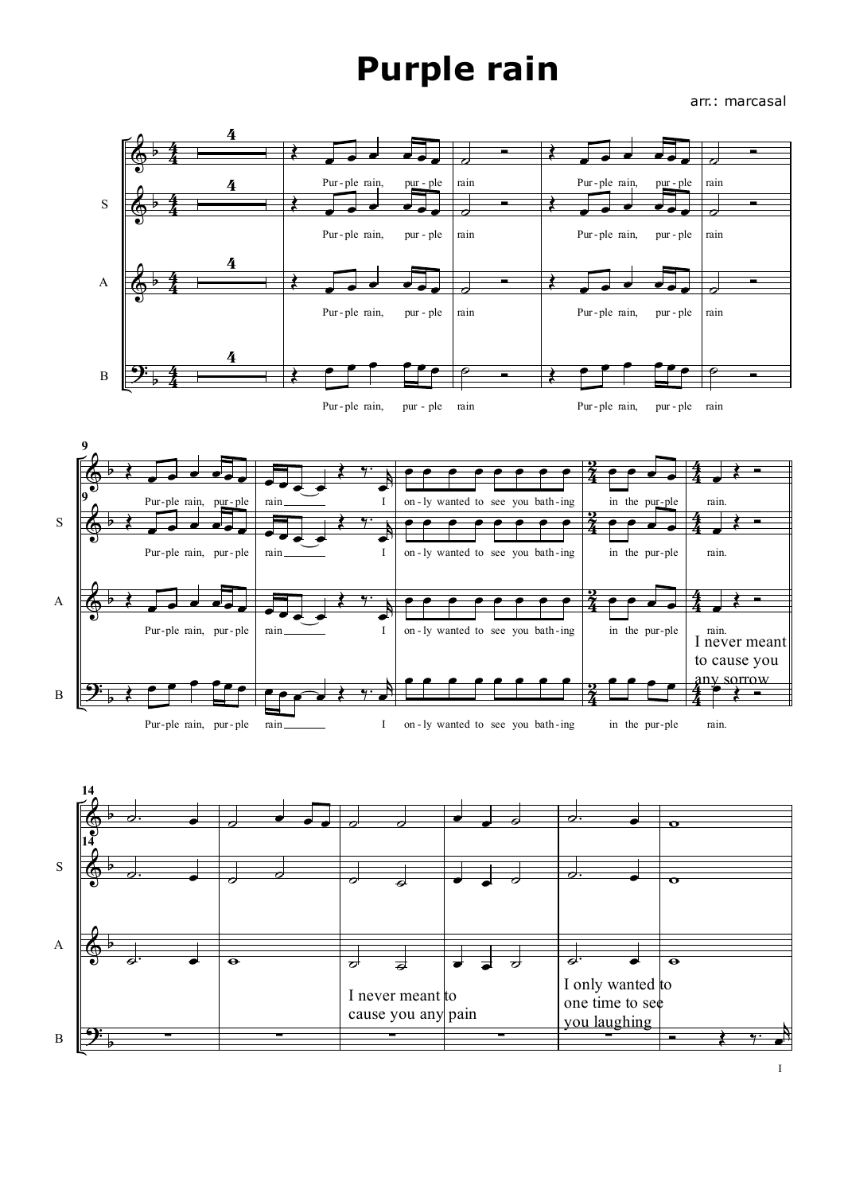## **Purple rain**

arr.: marcasal



I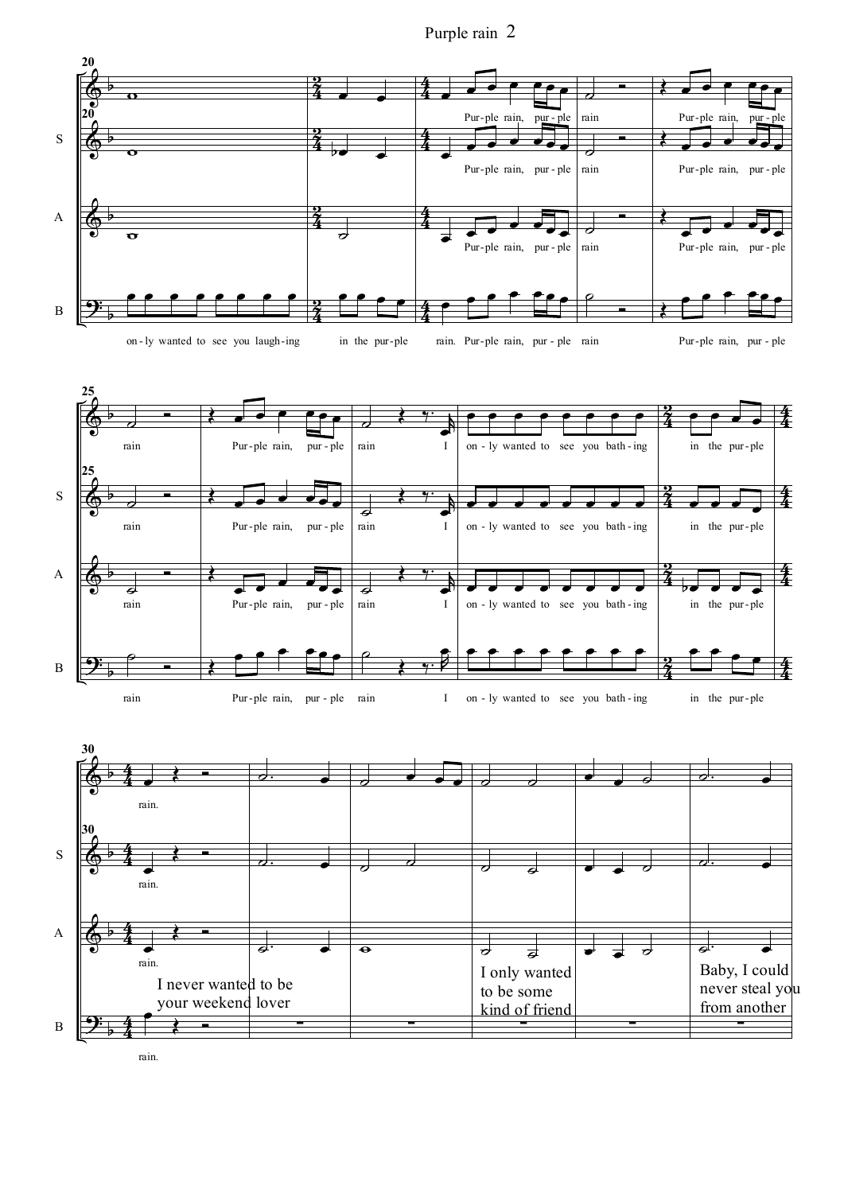Purple rain 2



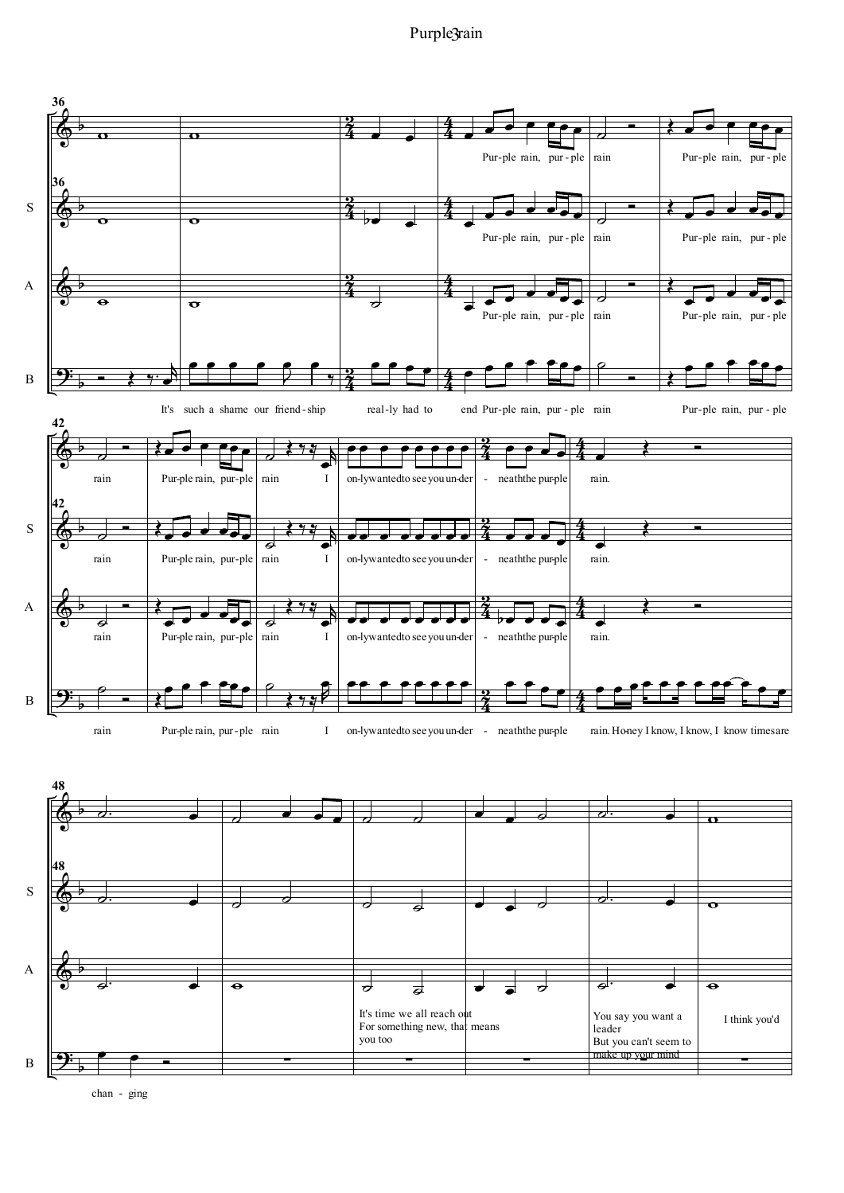## Purple3rain





chan - ging